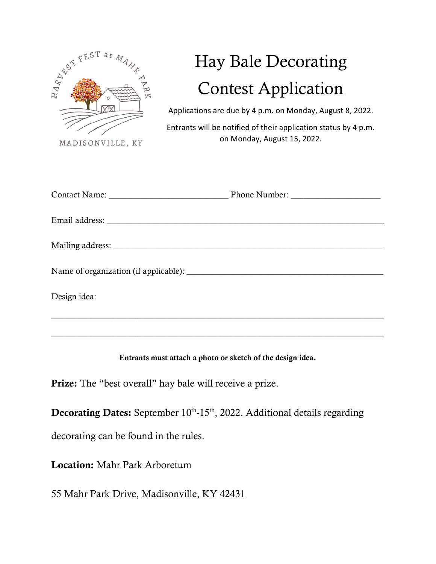

## Hay Bale Decorating Contest Application

Applications are due by 4 p.m. on Monday, August 8, 2022.

Entrants will be notified of their application status by 4 p.m. on Monday, August 15, 2022.

| Design idea: |  |
|--------------|--|

Entrants must attach a photo or sketch of the design idea.

\_\_\_\_\_\_\_\_\_\_\_\_\_\_\_\_\_\_\_\_\_\_\_\_\_\_\_\_\_\_\_\_\_\_\_\_\_\_\_\_\_\_\_\_\_\_\_\_\_\_\_\_\_\_\_\_\_\_\_\_\_\_\_\_\_\_\_\_\_\_\_\_\_\_\_\_\_\_\_\_\_\_\_\_\_

Prize: The "best overall" hay bale will receive a prize.

**Decorating Dates:** September  $10<sup>th</sup>$ -15<sup>th</sup>, 2022. Additional details regarding

decorating can be found in the rules.

Location: Mahr Park Arboretum

55 Mahr Park Drive, Madisonville, KY 42431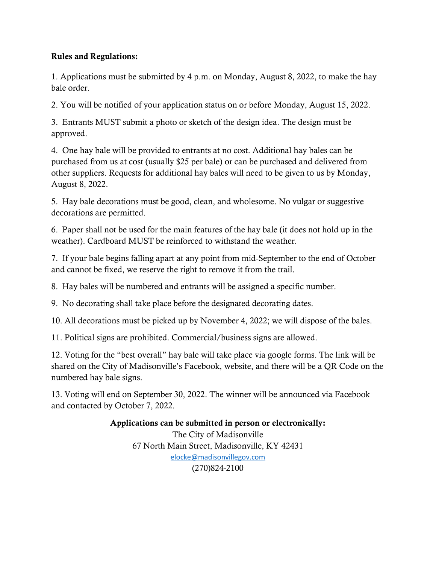## Rules and Regulations:

1. Applications must be submitted by 4 p.m. on Monday, August 8, 2022, to make the hay bale order.

2. You will be notified of your application status on or before Monday, August 15, 2022.

3. Entrants MUST submit a photo or sketch of the design idea. The design must be approved.

4. One hay bale will be provided to entrants at no cost. Additional hay bales can be purchased from us at cost (usually \$25 per bale) or can be purchased and delivered from other suppliers. Requests for additional hay bales will need to be given to us by Monday, August 8, 2022.

5. Hay bale decorations must be good, clean, and wholesome. No vulgar or suggestive decorations are permitted.

6. Paper shall not be used for the main features of the hay bale (it does not hold up in the weather). Cardboard MUST be reinforced to withstand the weather.

7. If your bale begins falling apart at any point from mid-September to the end of October and cannot be fixed, we reserve the right to remove it from the trail.

8. Hay bales will be numbered and entrants will be assigned a specific number.

9. No decorating shall take place before the designated decorating dates.

10. All decorations must be picked up by November 4, 2022; we will dispose of the bales.

11. Political signs are prohibited. Commercial/business signs are allowed.

12. Voting for the "best overall" hay bale will take place via google forms. The link will be shared on the City of Madisonville's Facebook, website, and there will be a QR Code on the numbered hay bale signs.

13. Voting will end on September 30, 2022. The winner will be announced via Facebook and contacted by October 7, 2022.

> Applications can be submitted in person or electronically: The City of Madisonville 67 North Main Street, Madisonville, KY 42431 [elocke@madisonvillegov.com](mailto:elocke@madisonvillegov.com) (270)824-2100